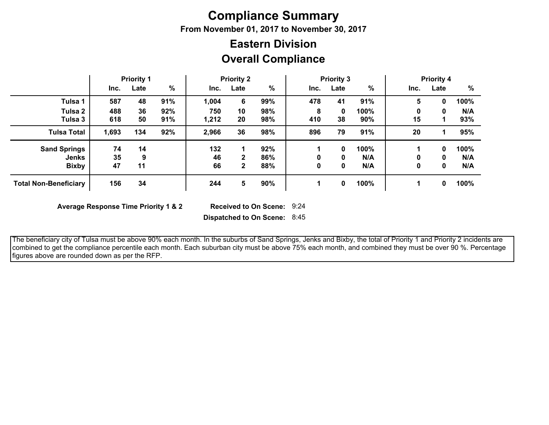## **Compliance Summary**

**From November 01, 2017 to November 30, 2017**

## **Overall Compliance Eastern Division**

|                              | <b>Priority 1</b> |      | <b>Priority 2</b> |       | <b>Priority 3</b> |     |      | <b>Priority 4</b> |      |      |      |      |
|------------------------------|-------------------|------|-------------------|-------|-------------------|-----|------|-------------------|------|------|------|------|
|                              | Inc.              | Late | $\frac{0}{0}$     | Inc.  | Late              | %   | Inc. | Late              | %    | Inc. | Late | %    |
| Tulsa 1                      | 587               | 48   | 91%               | 1,004 | 6                 | 99% | 478  | 41                | 91%  | 5    | 0    | 100% |
| Tulsa 2                      | 488               | 36   | 92%               | 750   | 10                | 98% | 8    | 0                 | 100% | 0    | 0    | N/A  |
| Tulsa 3                      | 618               | 50   | 91%               | 1,212 | 20                | 98% | 410  | 38                | 90%  | 15   |      | 93%  |
| <b>Tulsa Total</b>           | 1,693             | 134  | 92%               | 2,966 | 36                | 98% | 896  | 79                | 91%  | 20   |      | 95%  |
| <b>Sand Springs</b>          | 74                | 14   |                   | 132   |                   | 92% |      | 0                 | 100% |      | 0    | 100% |
| <b>Jenks</b>                 | 35                | 9    |                   | 46    | 2                 | 86% | 0    | 0                 | N/A  | 0    | 0    | N/A  |
| <b>Bixby</b>                 | 47                | 11   |                   | 66    | $\mathbf{2}$      | 88% | 0    | 0                 | N/A  | 0    | 0    | N/A  |
| <b>Total Non-Beneficiary</b> | 156               | 34   |                   | 244   | 5                 | 90% |      | 0                 | 100% | 1    | 0    | 100% |

**Average Response Time Priority 1 & 2** 

Received to On Scene: 9:24

**Dispatched to On Scene:** 8:45

 The beneficiary city of Tulsa must be above 90% each month. In the suburbs of Sand Springs, Jenks and Bixby, the total of Priority 1 and Priority 2 incidents are combined to get the compliance percentile each month. Each suburban city must be above 75% each month, and combined they must be over 90 %. Percentage figures above are rounded down as per the RFP.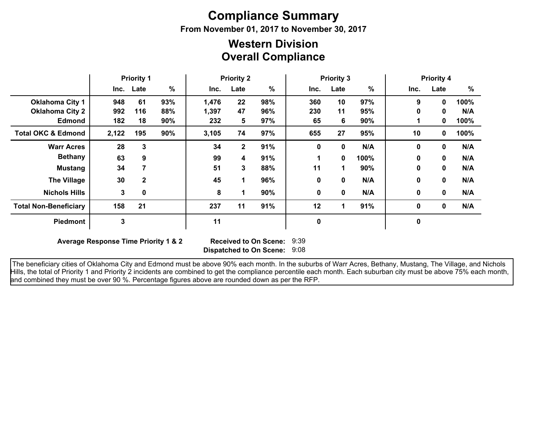# **Compliance Summary**

**From November 01, 2017 to November 30, 2017**

## **Overall Compliance Western Division**

|                               | <b>Priority 1</b> |              | <b>Priority 2</b> |       | <b>Priority 3</b> |      |      |             | <b>Priority 4</b><br>%<br>Inc.<br>Late |              |              |      |
|-------------------------------|-------------------|--------------|-------------------|-------|-------------------|------|------|-------------|----------------------------------------|--------------|--------------|------|
|                               |                   | Inc. Late    | %                 | Inc.  | Late              | $\%$ | Inc. | Late        | %                                      |              |              |      |
| <b>Oklahoma City 1</b>        | 948               | 61           | 93%               | 1,476 | 22                | 98%  | 360  | 10          | 97%                                    | 9            | $\mathbf{0}$ | 100% |
| <b>Oklahoma City 2</b>        | 992               | 116          | 88%               | 1,397 | 47                | 96%  | 230  | 11          | 95%                                    | 0            | 0            | N/A  |
| <b>Edmond</b>                 | 182               | 18           | 90%               | 232   | 5                 | 97%  | 65   | 6           | 90%                                    |              | 0            | 100% |
| <b>Total OKC &amp; Edmond</b> | 2,122             | 195          | 90%               | 3,105 | 74                | 97%  | 655  | 27          | 95%                                    | 10           | 0            | 100% |
| <b>Warr Acres</b>             | 28                | 3            |                   | 34    | $\mathbf{2}$      | 91%  | 0    | $\mathbf 0$ | N/A                                    | $\mathbf{0}$ | 0            | N/A  |
| <b>Bethany</b>                | 63                | 9            |                   | 99    | 4                 | 91%  | 1    | $\bf{0}$    | 100%                                   | $\bf{0}$     | 0            | N/A  |
| <b>Mustang</b>                | 34                |              |                   | 51    | 3                 | 88%  | 11   | 1.          | 90%                                    | $\mathbf 0$  | 0            | N/A  |
| <b>The Village</b>            | 30                | $\mathbf{2}$ |                   | 45    | 1                 | 96%  | 0    | 0           | N/A                                    | 0            | 0            | N/A  |
| <b>Nichols Hills</b>          | 3                 | 0            |                   | 8     | 1                 | 90%  | 0    | 0           | N/A                                    | $\mathbf 0$  | 0            | N/A  |
| <b>Total Non-Beneficiary</b>  | 158               | 21           |                   | 237   | 11                | 91%  | 12   |             | 91%                                    | 0            | $\mathbf 0$  | N/A  |
| Piedmont                      | 3                 |              |                   | 11    |                   |      | 0    |             |                                        | 0            |              |      |

**Average Response Time Priority 1 & 2** 

**Dispatched to On Scene:** 9:08 Received to On Scene: 9:39

 The beneficiary cities of Oklahoma City and Edmond must be above 90% each month. In the suburbs of Warr Acres, Bethany, Mustang, The Village, and Nichols Hills, the total of Priority 1 and Priority 2 incidents are combined to get the compliance percentile each month. Each suburban city must be above 75% each month, and combined they must be over 90 %. Percentage figures above are rounded down as per the RFP.